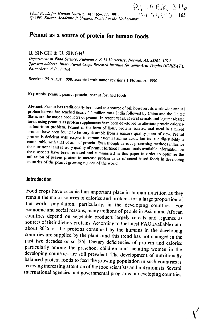# **Peanut as a source of protein for human foods**

## B. **SINGH & U. SINGH'**

Department of Food Science, Alabama A & **Al** *University.* Normal, **AL** 35762, **USA** ('present address. International Crops Research *Institute*for Semi-Arid Tropics (ICRISAT). *Patancherv,*A.P., India)

Received 25 August 1990; accepted with minor revisions I November 1990

Key words: peanut, peanut protein, peanut fortified foods

Abstract. Peanut has traditionally been used as a source of oil; however, its worldwide annual<br>protein harvest has reached nearly  $\sqrt{3}$  S million tons. India followed by China and the United<br>States are the major produce

#### **Introduction**

Food crops have occupied an important place in human nutrition as they remain the major sources of calories and proteins for a large proportion of the world population, particularly, in the developing countries. For economic and social reasons, many millions of people in Asian and African countries depend on vegetable products largely cereals and legumes as sources of their dietary proteins. According to the latest FAO available data, about 80% of the proteins consumed by the humans in the developing countries are supplied by the plants and this trend has not changed in the past two decades or so [25]. Dietary deficiencies of protein and calories particularly among the preschool children and lactating women in the developing countries are still prevalent. The development of nutritionally balanced protein foods to feed the growing population in such countries is receiving increasing attention of the food scientists and nutritionists internationa! agencies and governmental programs in developing countries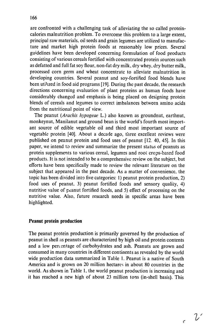are confronted with a challenging task of alleviating the so called proteincalories malnutrition problem. To overcome this problem to a large extent, principal raw materials, oil seeds and grain legumes are utilized to manufacture and market high protein foods at reasonably low prices. Several guidelines have been developed concerning formulation of food products consisting of various cereals fortified with concentrated protein sources such as defatted and full fat soy flour, non-fat dry milk, dry whey, dry butter milk, processed corn germ and wheat concentrate to alleviate malnutrition in developing countries. Several peanut and soy-fortified food blends have been utilized in food aid programs [19]. During the past decade, the research directions concerning evaluation of plant proteins as human foods have considerably changed and emphasis is being placed on designing protein blends of cereals and legumes to correct imbalances between amino acids from the nutritional point of view.

The peanut (Arachis *hypogeae* L.) also known as groundnut, earthnut, monkeynut, Manilanut and ground bean is the world's fourth most important source of edible vegetable oil and third most important source of vegetable protein [40]. About a decade ago, three excellent reviews were published on peanut protein and food uses of peanut [12. 40, 45]. In this paper, we intend to review and summarize the present status of peanuts as protein supplements to various cereal, legumes and root crops-based food products. It is not intended to be a comprehensive review on the subject, but efforts have been specifically made to review the relevant literature on the subject that appeared in the past decade. As a matter of convenience, the topic has been divided into five categories: **1)** peanut protein production, 2) food uses of peanut. 3) peanut fortified foods and sensory quality, 4) nutritive value of peanut fortified foods, and 5) effect of processing on the nutritive value. Also, future research needs in specific areas have been highlighted.

### Peanut protein production

The peanut protein production is primarily governed by the production of peanut in shell as peanuts are characterized by high oil and protein contents and a low percentage of carbohydrates and ash. Peanuts are grown and consumed in many countries in different continents as revealed by the world wide production data summarized in Table 1. Peanut is a native of South America and is grown on 20 million hectares in about 80 countries in the world. As shown in Table **1,** the world peanut production is increasing and it has reached a new high of about 23 million tons (in-shell basis). This

 $\overline{v}$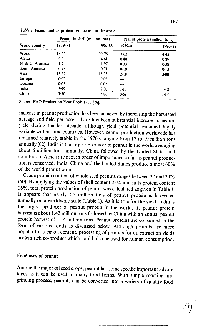| World country  |               | Peanut in shell (millior :ons) | Peanut protein (million tons) |         |
|----------------|---------------|--------------------------------|-------------------------------|---------|
|                | 1979-81       | 1986-88                        | 1979–81                       | 1986-88 |
| World          | 18.55         | 22.75                          | 3.62                          | 4.43    |
| Africa         | 4.53          | 4.61                           | 0.88                          | 0.89    |
| N & C. America | 1.74          | 1.97                           | 0.33                          | 0.38    |
| South America  | 0.98          | 0.71                           | 0.19                          | 0.13    |
| Asia           | $1! \cdot 22$ | 15.38                          | 2.18                          | 3·00    |
| Europe         | 0.02          | 0.03                           |                               |         |
| Oceania        | 0.05          | 0.05                           |                               |         |
| India          | 5.99          | 7.30                           | $1 - 17$                      | 1.42    |
| China          | 3.50          | 5.86                           | 0.68                          | 1.14    |

Table **1.** Peanut and its protein production in the world

Source. FAO Production Year Book 1988 [26].

inci ease in peanut production has been achieved by increasing the harvested acreage and field per acre. There has been substantial increase in peanut yield during the last decade, although yield potential remained highly variable within some countries. However, peanut production worldwide has remained relatively stable in the 1970's ranging from 17 to **!9** million tons annually [62]. India is the largest prcducer of peanut in the world averaging about 6 million tons annually. China followed by the United States and countries in Africa are next in order of importance so far as peanut production is concerned. India, China and the United States produce almost **60%**  of the world peanut crop.

Crude protein content of whole seed peanuts ranges between 22 and **30%**  (50). By applying the values of shell content **25%** and nuts protein content 26%, total protein production of peanut was calculated as given in Table 1. It appears that nearly 4.5 million tons of peanut protein is harvested annually on a worldwide scale (Table **1).** As it is true for the yield, India is the largest producer of peanut protein in the world, its peanut protein harvest is about 1.42 million tons followed by China with an annual peanut protein harvest of 1.14 million tons. Peanut proteins are consumed in the form of various foods as discussed below. Although peanuts are more popular for their oil content, processing of peanuts for oil extraction yields protein rich co-product which could also be used for human consumption.

#### Food uses of peanut

Among the major oil seed crops, peanut has some specific important advantages as it can be used in many food forms. With simple roasting and grinding process, peanuts can be converted into a variety of quality food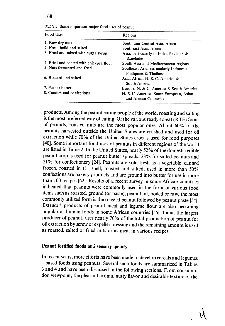168

| Table 2. Some important major food uses of peanut |  |  |
|---------------------------------------------------|--|--|
|---------------------------------------------------|--|--|

| Food Uses                               | Regions                                                           |  |  |
|-----------------------------------------|-------------------------------------------------------------------|--|--|
| 1. Raw dry nuts                         | South and Central Asia, Africa                                    |  |  |
| 2. Fresh boild and salted               | Southeast Asia, Africa                                            |  |  |
| 3. Fried and mixed with sugar syrup     | Asia, particularly in India, Pakistan &<br>Bangladesh             |  |  |
| 4. Fried and coated with chickpea flour | South Asia and Mediterranean regions                              |  |  |
| 5. Nuts fermented and fried             | Southeast Asia, particularly Indonesia,<br>Phillipines & Thailand |  |  |
| 6. Roasted and salted                   | Asia, Africa, N. & C. America &<br>South America                  |  |  |
| 7. Peanut butter                        | Europe, N. & C. America & South America                           |  |  |
| 8. Candies and confections              | N. & C. America, Some European, Asian<br>and African Countries    |  |  |

products. Among the peanut eating people of the world, roasting and salting is the most preferred way of eating. Of the various ready-to-eat (RTE) foods of peanuts, roasted nuts are the most popular ones. About **60%** of the peanuts harvested outside the United States are crushed and used for oil extraction while **70%** of the United States cron is used for food purposes [401. Some important food uses of peanuts in different regions of the world are listed in Table 2. In the United States, nearly **52%** of the domestic edible peanut crop is used for peanut butter spreads, **23%** for salted peanuts and **21%** for confectionery [24]. Peanuts are sold fresh as a vegetable, canned frozen, roasted in tf **;** shell, toasted and salted, used in more than **50%**  confections are bakery products and are ground into butter for use in more than 100 recipes [621. Results of a recent survey in some African countries indicated that peanuts were commonly used in the form of various food items such as roasted, ground (or paste), peanut oil, boiled or raw, the most commonly utilized form is the roasted peanut followed by peanut paste [54]. Extrud $t$ <sup>4</sup> products of peanut meal and legume flour are also becoming popular as human foods in some African countries [55]. India, the largest producer of peanut, uses nearly 70% of the total production of peanut for oil extraction by screw or expeller pressing and the remaining amount is used as roasted, salted or fried nuts or as meal in various recipes.

# Peanut fortified foods and sensory quality

In recent years, more efforts have been made to develop cereals and legumes **-** based foods using peanuts. Several such foods are summarized in Tables **3** and 4 and have been discussed in the following sections. F.om consumption viewpoint, the pleasant aroma, nutty flavor and desirable texture of the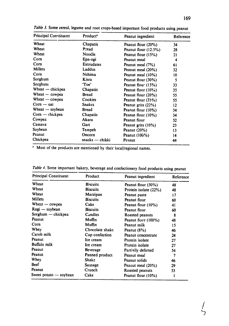| <b>Principal Constituent</b> | Product <sup>*</sup> | Peanut ingredient    | Reference |  |
|------------------------------|----------------------|----------------------|-----------|--|
| Wheat                        | Chapatis             | Peanut flour (20%)   | 34        |  |
| Wheat                        | Pread                | Peanut flour (12.5%) | 28        |  |
| Wheat                        | Noodle               | Peanut flour (15%)   | 21        |  |
| Com                          | Epa-ogi              | Peanut meal          | 4         |  |
| Corn                         | <b>Extrudates</b>    | Peanut meal (7%)     | 61        |  |
| <b>Millets</b>               | Laddus               | Peanut meal (20%)    | 32.       |  |
| Corn                         | Nshima               | Peanut meal (10%)    | 10        |  |
| Sorghum                      | Kisra                | Peanut flour (30%)   | 5         |  |
| Sorghum                      | 'Toe'                | Peanut flour $(15%)$ | 33        |  |
| Wheat — chickpea             | <b>Chapatis</b>      | Peanut flour (10%)   | 35        |  |
| Wheat - cowpea               | <b>Bread</b>         | Peanut flour (20%)   | 55        |  |
| Wheat $-\infty$ cowpea       | Cookies              | Peanut flour (35%)   | 55        |  |
| $Com - oat$                  | <b>Snakcs</b>        | Peanut grits (22%)   | $12 \,$   |  |
| Wheat - soybean              | <b>Bread</b>         | Peanut flour (10%)   | 34        |  |
| $Com - chickpea$             | <b>Chapatis</b>      | Peanut flour (10%)   | 34        |  |
| Cowpea                       | Akara                | Peanut flour         | 52        |  |
| Cassava                      | Gari                 | Peanut grits (10%)   | 23        |  |
| Soybean                      | Tempeh               | Peanut $(20%)$       | 13        |  |
| Peanut                       | Oncorn               | Peanut (100%)        | 14        |  |
| Chickpea                     | $snacks$ — chikki    | Peanut               | 44        |  |

Table **3.** Some cereal, legume and root crops-based important food products using peanut

**1** Most of the prodacts are mentioned **by** their local/regional names.

| <b>Principal Constituent</b> | Product         | Peanut ingredient     | Reference |  |
|------------------------------|-----------------|-----------------------|-----------|--|
| Wheat                        | <b>Biscuits</b> | Peanut flour (50%)    | 48        |  |
| Wheat                        | <b>Biscuits</b> | Protein isolate (22%) | 48        |  |
| Wheat                        | Marzipan        | Peanut paste          | 17        |  |
| Millets                      | <b>Biscuits</b> | Peanut flour          | 60        |  |
| Wheat $-$ cowpea             | Cake            | Peanut flour (10%)    | 41        |  |
| Ragi — soybean               | <b>Biscuits</b> | Peanut flour          | 60        |  |
| Sorghum — chickpea           | Candles         | Roasted peanuts       | 8         |  |
| Peanut                       | Muffin          | Peanut flour (100%)   | 48        |  |
| Com                          | Muffin          | Peanut milk           | 15        |  |
| Whey                         | Chocolate shake | Peanut (8%)           | 46        |  |
| Carob milk                   | Cup confection  | Peanut concentrate    | 24        |  |
| Peanut                       | Ice cream       | Protein isolate       | 27        |  |
| <b>Buffalo milk</b>          | Ice cream       | Protein isolate       | 27        |  |
| Peanut                       | Beverage        | Partially defatted    | 54        |  |
| Peanut                       | Panned product  | Peanut meal           | 7         |  |
| Whey                         | Shake           | Peanut solids         | 46        |  |
| Beef                         | Sausage         | Peanut meal (20%)     | 29        |  |
| Peanut                       | Crunch          | Roasted peanuts       | 53        |  |
| Sweet potato - soybean       | Cake            | Peanut flour (10%)    |           |  |

Table 4. Some important bakery, beverage and confectionery food products using peanut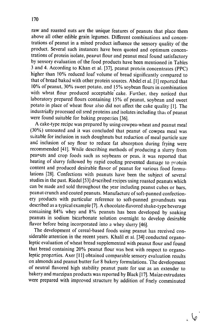raw and roasted nuts are the unique features of peanuts that place them above all other edible grain legumes. Different combinations and concentrations of peanut in a mixed product influence the sensory quality of the product. Several such instances have been quoted and optimum concentrations of protein isolate, peaput flour and peanut meal found satisfactory by sensory evaluation of the food products have been mentioned in Tables 3 and 4. According to Khan et al. [37], peanut protein concentrates (PPC) higher than **10%** reduced loaf volume of bread significantly compared to that of bread baked with other protein sources. Abdel et al. **[I]** reported that 10% of peanut, 30% sweet potato, and 15% soybean flours in combination with wheat flour produced acceptable cake. Further, they noticed that laboratory prepared flours containing 15% of peanut, soybean and sweet potato in place of wheat flour also did not affect the cake quality [1]. The industrially processed oil seed proteins and isolates including that of peanut were found suitable for baking properties [36].

A cake-type recipe was prepared by using cowpea-wheat and peanut meal (30%) untoasted and it was concluded that peanut of cowpea meal was suitable for inclusion in such doughnuts but reduction of meal particle size and inclusion of soy flour to reduce fat absorption during frying were recommended [41]. While describing methods of producing a slurry from peanuts and crop foods such as soybeans or peas, it was reported that heating of slurry followed by rapid cooling prevented damage to protein content and produced desirable flavor of peanut for various food formulations [28]. Confections with peanuts have been the subject of several studies in the past. Riedel [53] described recipes using roasted peanuts which can be made and sold throughout the year including peanut cubes or bars, peanut crunch and coated peanuts. Manufacture of soft-panned confectionery products with particular reference to soft-panned groundnuts was described as a typical example [7]. A chocolate-flavored shake-type beverage containing 84% whey and 8% peanuts has been developed by soaking peanuts in sodium bicarbonate solution overnight to develop desirable flavor before being incorporated into a whey slurry [46].

The development of cereal-based foods using peanut has received considerable attention in the recent years. Khalil et al. [34] conducted organoleptic evaluation of wheat bread supplemented with peanut flour and found that bread containing 20% peanut flour was best with respect to organoleptic properties. Axer [11] obtained comparable sensory evaluation results on almonds and peanut butter for 8 bakery formulations. The development of neutral flavored high stability peanut paste for use as an extender to bakery and marzipan products was reported by Black [17]. Maize extrudates were prepared with improved structure by addition of finely comminuted

 $\sqrt{6}$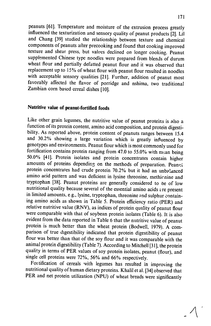peanuts **[61].** Temperature and moisture of the extrusion process greatly influenced the texturization and sensory quality of peanut products [2]. Lil and Chang **[39]** studied the relationship between texture and chemical components of peanuts after precooking and found that cooking improved texture and shear press, but values declined on longer cooking. Peanut supplemented Chinese type noodles were prepared from blends of durum wheat flour and partially defatted peanut flour and it was observed that replacement up to 15% of wheat flour with peanut flour resulted in noodles with acceptable sensory qualities [21]. Further, addition of peanut most favorably affected the flavor of porridge and nshima, two traditional Zambian corn based cereal dishes **[10].** 

# Nutritive **value of peanut-fortified foods**

Like other grain legumes, the nutritive value of peanut proteins is also a function of its protein content, amino acid composition, and protein digestibility. As reported above, protein content of peanuts ranges between 15.4 and 30.2% showing a large variation which is greatly influenced by genotypes and environments. Peanut flour which is most commonly used for fortification contains protein ranging from 47.0 to 55.0% with mean being 50.0% [41]. Protein isolates and protein concentrates contain higher amounts of proteins depending on the methods of preparation. Peany. protein concentrates had crude protein 70.2% but it had an unbalanced amino acid pattern and was deficient in lysine threonine, methicnine and tryptophan [38]. Peanut proteins are generally considered to be of low nutritional quality because several of the essential amino acids are present in limited amounts, e.g., lysine, tryptophan, threonine and sulphur containing amino acids as shown in Table 5. Protein efficiency ratio (PER) and relative nutritive value (RNV), as indices of protein quality of peanut flour were comparable with that of soybean protein isolates (Table 6). It is also evident from the data reported in Table 6 that the nutritive value of peanut protein is much better than the wheat protein (Bodwell, 1979). A comparison of true digestibility indicated that protein digestibility of peanut flour was better than that of the soy flour and it was comparable with the animal protein digestibility (Table 7). According to Mitchell [31], the protein quality in terms of PER values of soy protein isolates, peanut (flour), and single cell proteins were 72%, 56% and **66%** respectively.

Fortification of cereals with legumes has resulted in improving the nutritional quality of human dietary proteins. Khalil et al. [34] observed that PER and net protein utilization (NPU) of wheat breads were significantly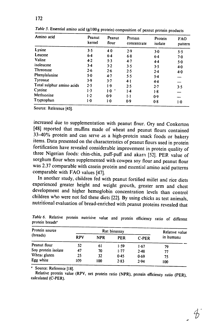| Amino acid                | Peanut<br>kernel | Peanut<br>flour | Protein<br>concentrate | Protein<br>isolate | <b>FAO</b><br>pattern |
|---------------------------|------------------|-----------------|------------------------|--------------------|-----------------------|
| Lysine                    | 3.5              | 40              | 2.9                    | 3.0                | 5.5                   |
| Leucine                   | $6-4$            | 6.4             | 6.8                    | $6-4$              | 7.0                   |
| Valine                    | 4.2              | 5.3             | 4.7                    | 4.4                | 5.0                   |
| isoleucine                | 3.4              | 3.2             | 3.5                    | 3.5                | $4-0$                 |
| Threonine                 | 2.6              | 2.6             | 2.5                    | 2.4                | 4.0                   |
| Phenylalanine             | 5.0              | $4-7$           | 5.5                    | 5.4                |                       |
| <b>Tyrositie</b>          | 3.9              | 3.7             | $4-1$                  | 4.4                |                       |
| Total sulphur amino acids | 2.5              | 1.9             | 2.5                    | 2.7                | 3.5                   |
| Cystine                   | 1.3              | $1.0$ .         | $1-4$                  | 1.8                |                       |
| Methionine                | $1-2$            | 0.9             | ŀ١                     | 0.9                |                       |
| Tryptophan                | $1-0$            | $1-0$           | 0.9                    | 0.8                | $1-0$                 |

Table *5.* Essential amino acid **(g/1OOg** protein) composition of peanut protein products

Source: Reference [45].

increased due to supplementation with peanut flour. Ory and Conkerton [48] reported that muffins made of wheat and peanut flours contained 33-40% protein and can serve as a high-protein snack foods or bakery items. Data presented on the characteristics of peanut flours used in protein fortification have revealed considerable improvement in protein quality of three Nigerian foods: chin-chin, puff-puff and akara [521. PER value of sorghum flour when supplemented with cowpea soy flour and peanut flour was 2.37 comparable with casein protein and essential amino acid patterns comparable with FAO values [47].

In another study, children fed with peanut fortified millet and rice diets experienced greater height and weight growth, greater arm and chest development and higher hemoglobin concentration levels than control children who were not fed these diets [22]. **By** using chicks as test animals, nutritional evaluation of bread-enriched with peanut proteins revealed that

| Protein source<br>(breads) | Rat bioassay |            |            |              | Relative value |
|----------------------------|--------------|------------|------------|--------------|----------------|
|                            | <b>RPV</b>   | <b>NPR</b> | <b>PER</b> | <b>C-PER</b> | in humans      |
| Peanut flour               | 52           | 61         | 1.59       | 1.67         | 79             |
| Soy protein isolate        | 47           | 70         | 1.77       | 2.48         | 77             |
| Wheat gluten               | 25           | 32         | 0.45       | 0.69         | 75             |
| Egg white                  | 160          | 100        | 2.83       | 2.94         | 100            |

Table 6. Relative protein nutritive value and protein efficiency ratio of different protein breads'

Source: Reference **[18].**

Relative protein value (RPV, net protein ratio (NPR), protein efficiency ratio (PER), calculated (C-PER).

 $\mathcal{A}$ 

## 172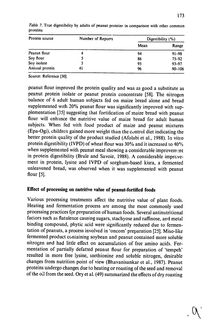| Protein source | Number of Reports | Digestibility $(\% )$ |            |
|----------------|-------------------|-----------------------|------------|
|                |                   | Mean                  | Range      |
| Peanut flour   | 4                 | 94                    | $91 - 98$  |
| Soy flour      |                   | 86                    | $75 - 92$  |
| Soy isolate    |                   | 95                    | 93-97      |
| Animal protein | 41                | 96                    | $90 - 106$ |

Table *7.* True digestibility **by** adults of peanut proteins in comparison with other common proteins

Source: Reference **[301.** 

peanut flour improved the protein quality and was as good a substitute as peanut protein isolate or peanut protein concentrate [58]. The nitrogen balance of 6 adult human subjects fed on maize bread alone and bread supplemented with 20% peanut flour was significantly improved with supplementation [35] suggesting that fortification of maize bread with peanut flour will enhance the nutritive value of maize bread for adult human subjects. When fed with food product of maize and peanut mixtures (Epa-Ogi), children gained more weight than the control diet indicating the better protein quality of the product studied (Afolabi et al., 1988). In vitro protein digestibility (IVPD) of wheat flour was 30% and it increased to 40% when supplemented with peanut meal showing a considerable improvement in protein digestibility (Brule and Savoie, 1988). A considerable improvement in protein, lysine and IVPD of sorghum-based kisra, a fermented unleavened bread, was observed when it was supplemented with peanut flour **[5].** 

# **Effect** of **processing on nutritive value of peanut-fortified foods**

Various processing treatments affect the nutritive value of plant foods. Heating and fermentation process are among the most commonly used processing practices for preparation of human foods. Several antinutritional factors such as flatulence causing sugars, stachyose and raffinose, and metal binding compound, phytic acid were significantly reduced due to fermentation of peanuts, a process involved in 'oncom' preparation [25]. Miso-like fermented product containing soybean and peanut contained more soluble nitrogen and had little effect on accumulation of free amino acids. Fermentation of partially defatted peanut flour for preparation of 'tempeh' resulted in more free lysine, inethionine and soluble nitrogen, desirable changes from nutrition point of view (Bhavanisankar et al., 1987). Peanut proteins undergo changes due to heating or roasting of the seed and removal of the oil from the seed. Ory et al.  $(49)$  summarized the effects of dry roasting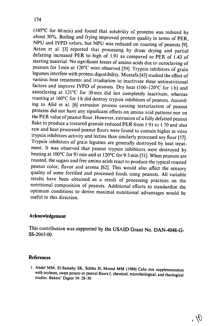(145°C for 60 min) and found that solubility of proteins was reduced by<br>about 50%. Boiling and frying improved protein quality in terms of PER,<br>NPU and IVPD values, but NPU was reduced on roasting of peanuts [9].<br>Acton et starting material. No significant losses of amino acids due to autoclaving of peanuts for 5 min at 120'C were observed [59]. Trypsin inhibitors of grain legumes interfere with protein digestibility. Mostafa [43] studied the effect of various heat treatments and irradiation to inactivate these antinutritional factors and improve IVPD of peanuts. Dry heat (100-120°C for 1h) and autoclaving at  $121^{\circ}$ C for 30 min did not completely inactivate, whereas roasting at 160°C for 1 h did destroy trypsin inhibitors of peanuts. According to Alid et al. [6] extrusion process causing texturization of peanut proteins did not have any significant effects on amino acid patterns nor on the PER value of peanut flour. However, extrusion of a fully defatted peanut flake to produce a textured granule reduced PER from 1.91 to 1.70 and also raw and heat processed peanut flours were found to contain higher in vitro trypsin inhibitors activity and lectins than similarly processed soy flour [57]. Trypsin inhibitors of grain legumes are generally destroyed by heat treatment. It was observed that peanut trypsin inhibitors were destroyed by heating at 100°C for 91 min and at 120°C for 9.3 min [51]. When peanuts are roasted, the sugars and free amino acids react to produce the typical roasted peanut color, flavor and aroma [62]. This would also affect the sensory quality of some fortified and processed foods using peanuts. All variable results have been obtained as a result of processing practices on the nutritional composition of peanuts. Additional efforts to standardize the optimum conditions to derive maximal nutritional advantages would be useful in this direction.

### Acknowledgement

This contribution was supported by the USAID Grant No. DAN-4048-G-SS-2065-00.

# References

I. Abdel MM, EI-Samahy SK, Scleha **H, Morad** MM (1980) Cake mix supplementation with soybean, sweet potato or peanut flours 1.chemical, microbiological, and rheological studies. Bakers' Digest 54: 28-30

 $\mathcal{Y}$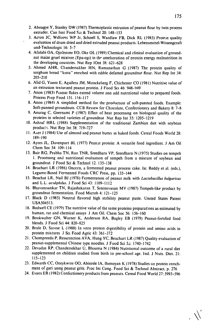- 2. Aboagye Y, Stanley DW **(1987)** Thermoplastic extrusion of peanut flour **by** twin process extruder. Can Inst Food Sci **&** Technol 20: **148-153**
- **3.** Acton **JC,** Williams WP Jr, Schnell **S,** Wardlaw FB, Dick RL **(1983)** Protrin quality evaluation of drum dried and dried extruded peanut products. Lebensmittel-Wissengcraft und-Technologic **16: 5-7**
- 4. Afolabi **OA,** Ojofeitimi EO, Oke OL **(1989)** Chemical and clinical evaluation of groundnut maize gruel mixture (Epa-ogi) in the amelioration of protcin energy malnutrition in the developing countries. Nut Rep lOnt **38: 621-628**
- **5.** Ahmed **AHR,** Chandersakher **HN,** Ramanathan **G (1987)** The protein quality of sorghum bread "kisra" enriched with edible defatted groundnut flour. Nut Rep Int 34: **205-210**
- **6.** Alid **G,** Yanez **E,** Aguilera **JM,** Monckeberg F, Chichester CO **(1981)** Nutritive value of an extrusion texturized peanut protein. **J** Food Sci 46: 948-949
- **7.** Anon **(19831** Peanut flakes extend volume ana add nutritional value to prepared foods. Process Prep Food **151. 116-117**
- **8.** Anon (1984) **A** simplified method for the production of soft-panned foods. Example: Soft-panned groundnuts. **CCB** Review for Chocolate, Confectionery and Bakery **8: 7-8**
- **9.** Anurag **C,** Geernami P **(1987)** Effect of heat processing on biological quality of the proteins in selected varieties of groundnut Nut Rep Int **35: 1205-1219**
- **10.**  Ashraf HRL **(1988)** Supplementation of the traditional Zambian diet with soybean products. Nut Rep Int 38: 719-727
- **11.**  AAer **J** (1984) Use of almond **and** peanut butter in baked foods. Cereal Foods World **28: 189-190**
- 12. Ayres **JL,** Davenport OL **(1977)** Peanut protein: **A** versatile food ingredient. **J** Am Oil Chem Soc 54 109-114
- **13.**  Bair RG, Prabha **TN,** Rao TNR, Sreedhara VP, Sreedhara **N (1975)** Studies on tempeh **1.** Processing and nutritional evaluation of tempeh from a mixture of soybean and groundnut. **J** Food Sci **&** Technol 12. **135-138**
- 14. Beuchart LR **(1986)** Oncorn, a fermented peanut process cake. In: Reddy et al. (eds.), Legume-Based Fermented Foods CRC Press, **pp.** 135-144
- **15.**  Beuchat LR. Nail **BJ (1978)** Fermentation of peanut milk with *Lactobacillus*bulgaricus and L.L. acidiphdius. **J** Food Sci 43: **1109-1112**
- **16.**  Bhavanisankar **TN,** Rajashekaran T, Sreemivasan MV **(1987)** Tempeh-like product **by**  groundnut fermentation. Food Microb 4: **121-125**
- **17.**  Black **D (1985)** Neutral flavored high stability peanut paste. United States Patent **USA504513.**
- **18.**  Bodwe!l CE **(1979)** The nutritive value of the same proteins preparations as estimated **by**  human, rat and chemical assays **J** Am Oil. Chem Soc **56: 156-160**
- **19.**  Bookwalter **GN.** Warner K, Anderson **RA,** Bagley EB **(1979)** Peanut-fortified food blends. **J** Food Sci 44: **820-825**
- 20. Brule D. Savoie L (1988) In vitro protein digestibility of protein and amino acids in protein mixtures **J** Sci Food Agric 43: **361-372**
- 21. Chompreeda **P,** Resurrection **AVA,** Hung YC, Beuchart **LR (1987)** Quality evaluation of peanut-supplemental Chinese type noodles. **J** Food Sci *5z:* 1740-1742
- 22. Devadas RP. Chandersekhar **U,** Bhooma **N** (1984) Nutritional outcome of a rural diet supplemented on children studied from birth to pre-school age. Ind. **J** Nuts. Diet. 21: 115-123
- 23. Edwards CC, Oneykwere OO, Abinrele IA, Ihimoyan K (1978) Studies on protein enrichment of gari using peanut grits. Proc Int Cong. Food Sci & Technol Abstract, p. 276
- 24. Evans ER (1982) Confectionery products from peanuts. Cereal Food World 27: 5993-596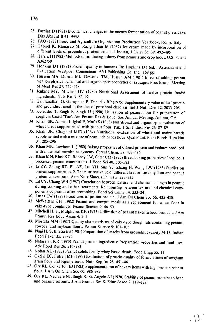- **25.**  Fardiaz D (1981) Biochemical changes in the oncorn fermentation of peanut press cake. Diss Abs Int B 41: 4440
- 
- 26. FAO (1988) Food and Agriculture Organization Production Yearbook, Rome. Italy 27. Gabriel K, Ramarao M, Rangnathan M (1987) Ice cream made by incorporation of different levels of groundnut protein isolate. J Indian, **J** Dairy Sci 39: 492-495
- 28. Haris, H (1982) Methods of producing a slurry from peanuts and crop foods. U.S. Patent A362759
- 29. Hopkins DT (1981) Protein quality in humans. In: Hopkins DT (ed.), Assessment and Evaluation. Wes<sup>2</sup>port, Connecticut: AVI Publishing Co. Inc., 169 pp.
- 30. Hussein MA, Dorma ML, Dessouki TM, Hussan AM (1981) Effect of adding peanut meal on physical, chemical and organoleptic properties of sausages. Proc Eruop Meeting of Meat Res 27: 445-448
- <sup>31</sup> Jenkins MY, Mitchell GV (1989) Nutritional Assessment of twelve protein foods/ ingredients. Nuts Res 9: 83-92
- 32 Kamlanathan **G,** Garuppiah P, Denadas RP (1975) Supplementary value of leaf protein and groundnut meal in the diet of preschool children Ind **J** Nutr Diet 12: 2033-205
- 33. Koleosho **"1,** Singh B, Singh U (1990) Utilization of peanut flour for preparation of sorghum based 'Toe'. Am Peanut Res & Educ. Soc Annual Meeting, Atlanta, GA
- 34 Khalil SK, Ahmed **1.** Igbal P, Mufti S(1983) Nutritional and organoleptic evaluation of wheat breat supplemented with peanut flour Pak. J Sci Indust Fes 26: 87-89
- 35. Khalil **JK,** Chaghtai MID (1984) Nutritional evaluation of wheat and maize breads supplemented with amixture of peanut chickpea flour Qual Plant: Plant Foods Hum Nut 34:285-296
- 36. Khan MN, Lawhom **Jl** (1980) Baking properties of oilseed proi-in and isolates produced with industrial membrane systems. Cereal Chem. 57. 433-436
- 37. Khan **MN,** Rhee **KC,** Rooney LW, Cater CM (1975) Bread baking pl operties ofacqueous processed peanut concentrates. J Food Sci 40. 580-583
- 38. Li **ZY,** Zhang RT, Fu **AZ,** Liu YH, Sun **YJ,** Zhang H, Wang LW (1983) Studies on protein supplementes. 2. The nutritive value of different heat process soy flour and peanut protein concentrate. Acta Nutr Sinica (China) 5' 327-335
- 39. Lil CY, Chang WH (1987) Correlation between textural and chemical changes in peanut during cooking and other treatments<sup>.</sup> Relationship between texture and chemical components of peanut after precooking. Food Sci China 14: 233-241
- <sup>40</sup> Lusas EW (1979) Food uses of peanut protein. J Am Oil Chem Soc 56: 425-430.
- 41. McWalters KH (1982) Peanut and cowpea meals as a replacement for wheat flour in cake-type doughnuts. Peanut Science 9 46-50
- 42. Mitchell **JP** Jr, Malphurus KK (1973) Utilization of peanut flakes in food products. **J** Am Peanut Res Educ Assoc 4: 2-5
- 43. Mostafa MM (1987) Quality characteristics of cake-type doughnuts containing peanut, cowpea, and soybean flours. Peanut Science 9: 101-103
- 44. Nagi HPS, Bhatia BS (1981) Preparation of snacks from groundnut variety M-13. Indian Food Paker 35: 73-75
- 45. Natarajan KR (1980) Peanut protein ingredients: Preparation properties and food uses. Adv Food Res 26: 216-273
- 46. Nolan AL (1983) Peanut solids fortify whey-based drink. Food Engg 55: *I1*
- 47. Okeiyi EC, Futrell MF (1983) Evaluation of protein quality of formulations of sorghum grain flour and legume seeds. Nutr Rep Int 28 451-461
- 48. Ory RL, Conkerton **EJ** (1983) Supplementation of bakery items with high protein peanut flour. **J** Am Oil Chem Soc 60: 986-989
- 49. Ory RL, Neurcere **NJ,** Singh R, St. Angelo **AJ** (1970) Stability of peanut proteins to heat and organic solvents. **J** Am Peanut Res & Educ Assoc 2:119-128

 $.12$